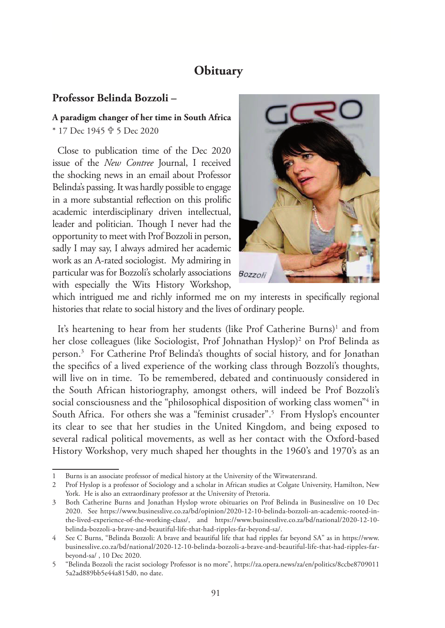## **Obituary**

## **Professor Belinda Bozzoli –**

## **A paradigm changer of her time in South Africa**

\* 17 Dec 1945 **†** 5 Dec 2020

Close to publication time of the Dec 2020 issue of the *New Contree* Journal, I received the shocking news in an email about Professor Belinda's passing. It was hardly possible to engage in a more substantial reflection on this prolific academic interdisciplinary driven intellectual, leader and politician. Though I never had the opportunity to meet with Prof Bozzoli in person, sadly I may say, I always admired her academic work as an A-rated sociologist. My admiring in particular was for Bozzoli's scholarly associations Bozzol. with especially the Wits History Workshop,



which intrigued me and richly informed me on my interests in specifically regional histories that relate to social history and the lives of ordinary people.

It's heartening to hear from her students (like Prof Catherine Burns)<sup>1</sup> and from her close colleagues (like Sociologist, Prof Johnathan Hyslop)2 on Prof Belinda as person.3 For Catherine Prof Belinda's thoughts of social history, and for Jonathan the specifics of a lived experience of the working class through Bozzoli's thoughts, will live on in time. To be remembered, debated and continuously considered in the South African historiography, amongst others, will indeed be Prof Bozzoli's social consciousness and the "philosophical disposition of working class women"4 in South Africa. For others she was a "feminist crusader".5 From Hyslop's encounter its clear to see that her studies in the United Kingdom, and being exposed to several radical political movements, as well as her contact with the Oxford-based History Workshop, very much shaped her thoughts in the 1960's and 1970's as an

Burns is an associate professor of medical history at the University of the Witwatersrand.

<sup>2</sup> Prof Hyslop is a professor of Sociology and a scholar in African studies at Colgate University, Hamilton, New York. He is also an extraordinary professor at the University of Pretoria.

<sup>3</sup> Both Catherine Burns and Jonathan Hyslop wrote obituaries on Prof Belinda in Businesslive on 10 Dec 2020. See https://www.businesslive.co.za/bd/opinion/2020-12-10-belinda-bozzoli-an-academic-rooted-inthe-lived-experience-of-the-working-class/, and https://www.businesslive.co.za/bd/national/2020-12-10 belinda-bozzoli-a-brave-and-beautiful-life-that-had-ripples-far-beyond-sa/.

See C Burns, "Belinda Bozzoli: A brave and beautiful life that had ripples far beyond SA" as in https://www. businesslive.co.za/bd/national/2020-12-10-belinda-bozzoli-a-brave-and-beautiful-life-that-had-ripples-farbeyond-sa/ , 10 Dec 2020.

<sup>5</sup> "Belinda Bozzoli the racist sociology Professor is no more", https://za.opera.news/za/en/politics/8ccbe8709011 5a2ad889bb5e44a815d0, no date.